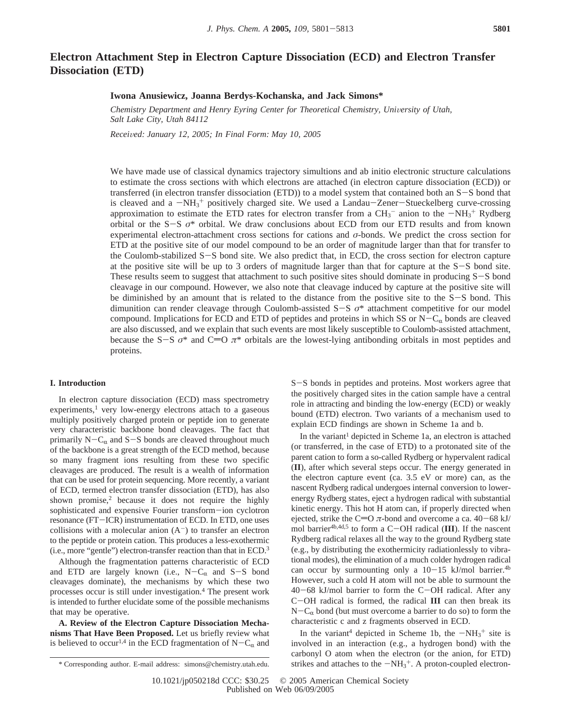# **Electron Attachment Step in Electron Capture Dissociation (ECD) and Electron Transfer Dissociation (ETD)**

## **Iwona Anusiewicz, Joanna Berdys-Kochanska, and Jack Simons\***

*Chemistry Department and Henry Eyring Center for Theoretical Chemistry, University of Utah, Salt Lake City, Utah 84112*

*Recei*V*ed: January 12, 2005; In Final Form: May 10, 2005*

We have made use of classical dynamics trajectory simultions and ab initio electronic structure calculations to estimate the cross sections with which electrons are attached (in electron capture dissociation (ECD)) or transferred (in electron transfer dissociation (ETD)) to a model system that contained both an S-S bond that is cleaved and a  $-MH_3^+$  positively charged site. We used a Landau-Zener-Stueckelberg curve-crossing<br>approximation to estimate the ETD rates for electron transfer from a CH<sub>2</sub><sup>-</sup> anion to the  $-NH_2^+$  Rydherg approximation to estimate the ETD rates for electron transfer from a  $CH_3^-$  anion to the  $-NH_3^+$  Rydberg orbital or the S-S  $\sigma^*$  orbital. We draw conclusions about ECD from our ETD results and from known orbital or the S-<sup>S</sup> *<sup>σ</sup>*\* orbital. We draw conclusions about ECD from our ETD results and from known experimental electron-attachment cross sections for cations and *σ*-bonds. We predict the cross section for ETD at the positive site of our model compound to be an order of magnitude larger than that for transfer to the Coulomb-stabilized S-S bond site. We also predict that, in ECD, the cross section for electron capture at the positive site will be up to 3 orders of magnitude larger than that for capture at the S-S bond site. These results seem to suggest that attachment to such positive sites should dominate in producing S-S bond cleavage in our compound. However, we also note that cleavage induced by capture at the positive site will be diminished by an amount that is related to the distance from the positive site to the S-S bond. This dimunition can render cleavage through Coulomb-assisted S-<sup>S</sup> *<sup>σ</sup>*\* attachment competitive for our model compound. Implications for ECD and ETD of peptides and proteins in which SS or  $N-C_{\alpha}$  bonds are cleaved are also discussed, and we explain that such events are most likely susceptible to Coulomb-assisted attachment, because the S-S  $\sigma^*$  and C=O  $\pi^*$  orbitals are the lowest-lying antibonding orbitals in most peptides and proteins.

## **I. Introduction**

In electron capture dissociation (ECD) mass spectrometry  $experiments<sup>1</sup>$  very low-energy electrons attach to a gaseous multiply positively charged protein or peptide ion to generate very characteristic backbone bond cleavages. The fact that primarily  $N-C_{\alpha}$  and  $S-S$  bonds are cleaved throughout much of the backbone is a great strength of the ECD method, because so many fragment ions resulting from these two specific cleavages are produced. The result is a wealth of information that can be used for protein sequencing. More recently, a variant of ECD, termed electron transfer dissociation (ETD), has also shown promise, $2$  because it does not require the highly sophisticated and expensive Fourier transform-ion cyclotron resonance (FT-ICR) instrumentation of ECD. In ETD, one uses collisions with a molecular anion  $(A^-)$  to transfer an electron to the peptide or protein cation. This produces a less-exothermic (i.e., more "gentle") electron-transfer reaction than that in ECD.3

Although the fragmentation patterns characteristic of ECD and ETD are largely known (i.e.,  $N-C_{\alpha}$  and S-S bond cleavages dominate), the mechanisms by which these two processes occur is still under investigation.4 The present work is intended to further elucidate some of the possible mechanisms that may be operative.

**A. Review of the Electron Capture Dissociation Mechanisms That Have Been Proposed.** Let us briefly review what is believed to occur<sup>1,4</sup> in the ECD fragmentation of  $N-C_{\alpha}$  and

<sup>S</sup>-S bonds in peptides and proteins. Most workers agree that the positively charged sites in the cation sample have a central role in attracting and binding the low-energy (ECD) or weakly bound (ETD) electron. Two variants of a mechanism used to explain ECD findings are shown in Scheme 1a and b.

In the variant<sup>1</sup> depicted in Scheme 1a, an electron is attached (or transferred, in the case of ETD) to a protonated site of the parent cation to form a so-called Rydberg or hypervalent radical (**II**), after which several steps occur. The energy generated in the electron capture event (ca. 3.5 eV or more) can, as the nascent Rydberg radical undergoes internal conversion to lowerenergy Rydberg states, eject a hydrogen radical with substantial kinetic energy. This hot H atom can, if properly directed when ejected, strike the C=O  $\pi$ -bond and overcome a ca. 40-68 kJ/ mol barrier4b,4d,5 to form a C-OH radical (**III**). If the nascent Rydberg radical relaxes all the way to the ground Rydberg state (e.g., by distributing the exothermicity radiationlessly to vibrational modes), the elimination of a much colder hydrogen radical can occur by surmounting only a  $10-15$  kJ/mol barrier.<sup>4b</sup> However, such a cold H atom will not be able to surmount the  $40-68$  kJ/mol barrier to form the C-OH radical. After any <sup>C</sup>-OH radical is formed, the radical **III** can then break its  $N-C_{\alpha}$  bond (but must overcome a barrier to do so) to form the characteristic c and z fragments observed in ECD.

In the variant<sup>4</sup> depicted in Scheme 1b, the  $-NH_3^+$  site is<br>volved in an interaction (e.g., a hydrogen bond) with the involved in an interaction (e.g., a hydrogen bond) with the carbonyl O atom when the electron (or the anion, for ETD) \* Corresponding author. E-mail address: simons@chemistry.utah.edu. strikes and attaches to the  $-MH_3^+$ . A proton-coupled electron-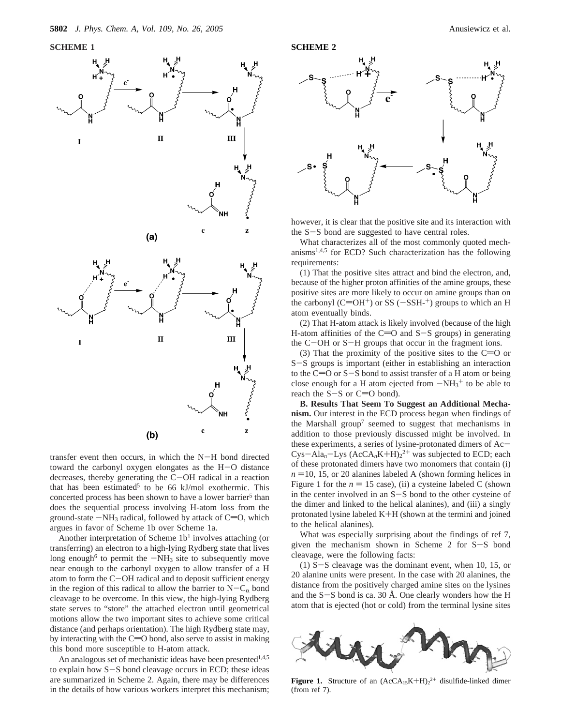

transfer event then occurs, in which the N-H bond directed toward the carbonyl oxygen elongates as the H-O distance decreases, thereby generating the C-OH radical in a reaction that has been estimated<sup>5</sup> to be 66 kJ/mol exothermic. This concerted process has been shown to have a lower barrier<sup>5</sup> than does the sequential process involving H-atom loss from the ground-state  $-NH_3$  radical, followed by attack of  $C=O$ , which argues in favor of Scheme 1b over Scheme 1a.

Another interpretation of Scheme  $1b<sup>1</sup>$  involves attaching (or transferring) an electron to a high-lying Rydberg state that lives long enough<sup>6</sup> to permit the  $-NH_3$  site to subsequently move near enough to the carbonyl oxygen to allow transfer of a H atom to form the C-OH radical and to deposit sufficient energy in the region of this radical to allow the barrier to  $N-C_{\alpha}$  bond cleavage to be overcome. In this view, the high-lying Rydberg state serves to "store" the attached electron until geometrical motions allow the two important sites to achieve some critical distance (and perhaps orientation). The high Rydberg state may, by interacting with the  $C=O$  bond, also serve to assist in making this bond more susceptible to H-atom attack.

An analogous set of mechanistic ideas have been presented $1,4,5$ to explain how S-S bond cleavage occurs in ECD; these ideas are summarized in Scheme 2. Again, there may be differences in the details of how various workers interpret this mechanism;



however, it is clear that the positive site and its interaction with the S-S bond are suggested to have central roles.

What characterizes all of the most commonly quoted mechanisms1,4,5 for ECD? Such characterization has the following requirements:

(1) That the positive sites attract and bind the electron, and, because of the higher proton affinities of the amine groups, these positive sites are more likely to occur on amine groups than on the carbonyl (C=OH<sup>+</sup>) or SS ( $-SSH<sup>-+</sup>$ ) groups to which an H atom eventually binds.

(2) That H-atom attack is likely involved (because of the high H-atom affinities of the  $C=O$  and  $S-S$  groups) in generating the C-OH or S-H groups that occur in the fragment ions.

(3) That the proximity of the positive sites to the  $C=O$  or <sup>S</sup>-S groups is important (either in establishing an interaction to the C=O or S-S bond to assist transfer of a H atom or being close enough for a H atom ejected from  $-NH_3^+$  to be able to reach the S-S or  $C=O$  bond) reach the  $S-S$  or  $C=O$  bond).

**B. Results That Seem To Suggest an Additional Mechanism.** Our interest in the ECD process began when findings of the Marshall group<sup>7</sup> seemed to suggest that mechanisms in addition to those previously discussed might be involved. In these experiments, a series of lysine-protonated dimers of Ac- $Cys-Ala_n-Lys (AccA_nK+H)<sub>2</sub><sup>2+</sup>$  was subjected to ECD; each of these protonated dimers have two monomers that contain (i) of these protonated dimers have two monomers that contain (i)  $n = 10$ , 15, or 20 alanines labeled A (shown forming helices in Figure 1 for the  $n = 15$  case), (ii) a cysteine labeled C (shown in the center involved in an S-S bond to the other cysteine of the dimer and linked to the helical alanines), and (iii) a singly protonated lysine labeled K+H (shown at the termini and joined to the helical alanines).

What was especially surprising about the findings of ref 7, given the mechanism shown in Scheme 2 for S-S bond cleavage, were the following facts:

(1) S-S cleavage was the dominant event, when 10, 15, or 20 alanine units were present. In the case with 20 alanines, the distance from the positively charged amine sites on the lysines and the  $S-S$  bond is ca. 30 Å. One clearly wonders how the H atom that is ejected (hot or cold) from the terminal lysine sites



**Figure 1.** Structure of an  $(AccA<sub>15</sub>K+H)<sub>2</sub><sup>2+</sup>$  disulfide-linked dimer (from ref 7) (from ref 7).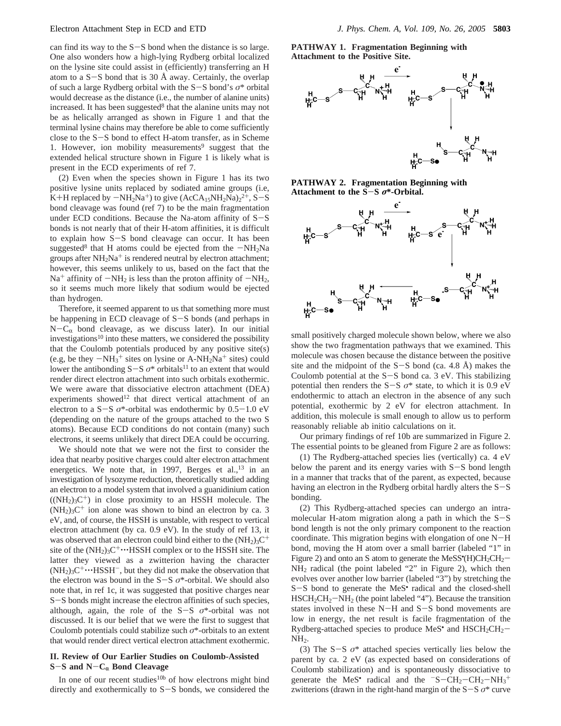can find its way to the  $S-S$  bond when the distance is so large. One also wonders how a high-lying Rydberg orbital localized on the lysine site could assist in (efficiently) transferring an H atom to a  $S-S$  bond that is 30 Å away. Certainly, the overlap of such a large Rydberg orbital with the S-S bond's *<sup>σ</sup>*\* orbital would decrease as the distance (i.e., the number of alanine units) increased. It has been suggested $8$  that the alanine units may not be as helically arranged as shown in Figure 1 and that the terminal lysine chains may therefore be able to come sufficiently close to the S-S bond to effect H-atom transfer, as in Scheme 1. However, ion mobility measurements<sup>9</sup> suggest that the extended helical structure shown in Figure 1 is likely what is present in the ECD experiments of ref 7.

(2) Even when the species shown in Figure 1 has its two positive lysine units replaced by sodiated amine groups (i.e, K+H replaced by  $-NH_2Na^+$ ) to give  $(ACA_{15}NH_2Na)_2^{2+}$ , S-S<br>bond cleavage was found (ref 7) to be the main fragmentation bond cleavage was found (ref 7) to be the main fragmentation under ECD conditions. Because the Na-atom affinity of  $S-S$ bonds is not nearly that of their H-atom affinities, it is difficult to explain how S-S bond cleavage can occur. It has been suggested<sup>8</sup> that H atoms could be ejected from the  $-NH<sub>2</sub>Na$ groups after  $NH<sub>2</sub>Na<sup>+</sup>$  is rendered neutral by electron attachment; however, this seems unlikely to us, based on the fact that the  $Na<sup>+</sup>$  affinity of  $-NH<sub>2</sub>$  is less than the proton affinity of  $-NH<sub>2</sub>$ , so it seems much more likely that sodium would be ejected than hydrogen.

Therefore, it seemed apparent to us that something more must be happening in ECD cleavage of S-S bonds (and perhaps in  $N-C_{\alpha}$  bond cleavage, as we discuss later). In our initial investigations<sup>10</sup> into these matters, we considered the possibility that the Coulomb potentials produced by any positive site(s) (e.g, be they  $-NH_3^+$  sites on lysine or A-NH<sub>2</sub>Na<sup>+</sup> sites) could<br>lower the antibonding  $S-S$   $\sigma^*$  orbitals<sup>11</sup> to an extent that would lower the antibonding  $S-S$   $\sigma^*$  orbitals<sup>11</sup> to an extent that would render direct electron attachment into such orbitals exothermic. We were aware that dissociative electron attachment (DEA) experiments showed<sup>12</sup> that direct vertical attachment of an electron to a  $S-S$   $\sigma^*$ -orbital was endothermic by  $0.5-1.0$  eV (depending on the nature of the groups attached to the two S atoms). Because ECD conditions do not contain (many) such electrons, it seems unlikely that direct DEA could be occurring.

We should note that we were not the first to consider the idea that nearby positive charges could alter electron attachment energetics. We note that, in 1997, Berges et al.,<sup>13</sup> in an investigation of lysozyme reduction, theoretically studied adding an electron to a model system that involved a guanidinium cation  $((NH<sub>2</sub>)<sub>3</sub>C<sup>+</sup>)$  in close proximity to an HSSH molecule. The  $(NH<sub>2</sub>)<sub>3</sub>C<sup>+</sup>$  ion alone was shown to bind an electron by ca. 3 eV, and, of course, the HSSH is unstable, with respect to vertical electron attachment (by ca. 0.9 eV). In the study of ref 13, it was observed that an electron could bind either to the  $(NH<sub>2</sub>)<sub>3</sub>C<sup>+</sup>$ site of the  $(NH_2)_3C^+\cdots HSSH$  complex or to the HSSH site. The latter they viewed as a zwitterion having the character  $(NH<sub>2</sub>)<sub>3</sub>C<sup>+</sup>...HSSH<sup>-</sup>$ , but they did not make the observation that the electron was bound in the S-<sup>S</sup> *<sup>σ</sup>*\*-orbital. We should also note that, in ref 1c, it was suggested that positive charges near <sup>S</sup>-S bonds might increase the electron affinities of such species, although, again, the role of the S-<sup>S</sup> *<sup>σ</sup>*\*-orbital was not discussed. It is our belief that we were the first to suggest that Coulomb potentials could stabilize such *σ*\*-orbitals to an extent that would render direct vertical electron attachment exothermic.

## **II. Review of Our Earlier Studies on Coulomb-Assisted <sup>S</sup>**-**S and N**-**C**r **Bond Cleavage**

In one of our recent studies<sup>10b</sup> of how electrons might bind directly and exothermically to S-S bonds, we considered the **PATHWAY 1. Fragmentation Beginning with Attachment to the Positive Site.**



**PATHWAY 2. Fragmentation Beginning with Attachment to the S**-**<sup>S</sup>** *<sup>σ</sup>***\*-Orbital.**



small positively charged molecule shown below, where we also show the two fragmentation pathways that we examined. This molecule was chosen because the distance between the positive site and the midpoint of the  $S-S$  bond (ca. 4.8 Å) makes the Coulomb potential at the  $S-S$  bond ca. 3 eV. This stabilizing potential then renders the S-S  $\sigma^*$  state, to which it is 0.9 eV endothermic to attach an electron in the absence of any such potential, exothermic by 2 eV for electron attachment. In addition, this molecule is small enough to allow us to perform reasonably reliable ab initio calculations on it.

Our primary findings of ref 10b are summarized in Figure 2. The essential points to be gleaned from Figure 2 are as follows:

(1) The Rydberg-attached species lies (vertically) ca. 4 eV below the parent and its energy varies with  $S-S$  bond length in a manner that tracks that of the parent, as expected, because having an electron in the Rydberg orbital hardly alters the  $S-S$ bonding.

(2) This Rydberg-attached species can undergo an intramolecular H-atom migration along a path in which the S-<sup>S</sup> bond length is not the only primary component to the reaction coordinate. This migration begins with elongation of one N-<sup>H</sup> bond, moving the H atom over a small barrier (labeled "1" in Figure 2) and onto an S atom to generate the MeSS<sup>•</sup>(H)CH<sub>2</sub>CH<sub>2</sub>–<br>NH<sub>2</sub> radical (the point labeled "2" in Figure 2) which then NH2 radical (the point labeled "2" in Figure 2), which then evolves over another low barrier (labeled "3") by stretching the <sup>S</sup>-S bond to generate the MeS• radical and the closed-shell HSCH2CH2-NH2 (the point labeled "4"). Because the transition states involved in these N-H and S-S bond movements are low in energy, the net result is facile fragmentation of the Rydberg-attached species to produce MeS<sup>•</sup> and  $HSCH_2CH_2$ -NH<sub>2</sub>.

(3) The S-<sup>S</sup> *<sup>σ</sup>*\* attached species vertically lies below the parent by ca. 2 eV (as expected based on considerations of Coulomb stabilization) and is spontaneously dissociative to generate the MeS<sup>•</sup> radical and the  $\text{S}-CH_2-CH_2-NH_3^+$ <br>zwitterions (drawn in the right-hand margin of the S-S  $\sigma^*$  curve zwitterions (drawn in the right-hand margin of the  $S-S$   $\sigma^*$  curve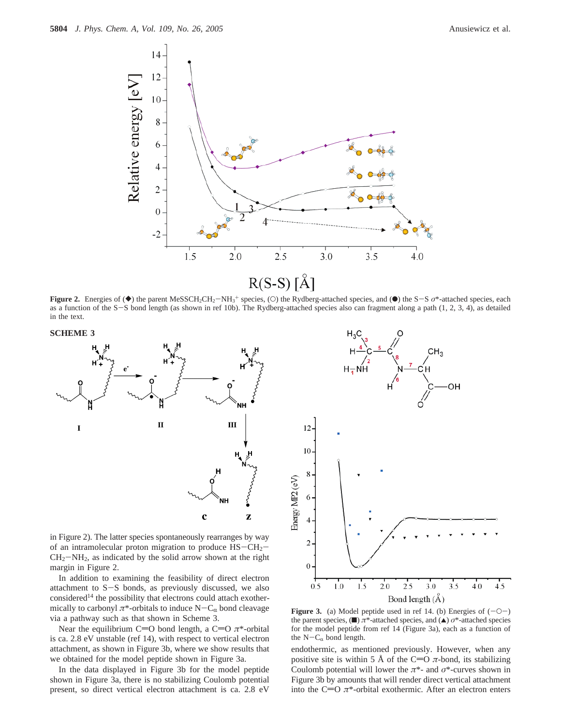

**Figure 2.** Energies of (◆) the parent MeSSCH<sub>2</sub>CH<sub>2</sub>–NH<sub>3</sub><sup>+</sup> species, (○) the Rydberg-attached species, and (●) the S-S *σ*\*-attached species, each as a function of the S-S bond length (as shown in ref 10b). The Rydberg as a function of the S-S bond length (as shown in ref 10b). The Rydberg-attached species also can fragment along a path (1, 2, 3, 4), as detailed in the text.





in Figure 2). The latter species spontaneously rearranges by way of an intramolecular proton migration to produce  $HS-CH_2 CH<sub>2</sub>-NH<sub>2</sub>$ , as indicated by the solid arrow shown at the right margin in Figure 2.

In addition to examining the feasibility of direct electron attachment to S-S bonds, as previously discussed, we also considered<sup>14</sup> the possibility that electrons could attach exothermically to carbonyl  $\pi^*$ -orbitals to induce  $N-C_\alpha$  bond cleavage via a pathway such as that shown in Scheme 3.

Near the equilibrium C=O bond length, a C=O  $\pi$ <sup>\*</sup>-orbital is ca. 2.8 eV unstable (ref 14), with respect to vertical electron attachment, as shown in Figure 3b, where we show results that we obtained for the model peptide shown in Figure 3a.

In the data displayed in Figure 3b for the model peptide shown in Figure 3a, there is no stabilizing Coulomb potential present, so direct vertical electron attachment is ca. 2.8 eV



**Figure 3.** (a) Model peptide used in ref 14. (b) Energies of  $(-O-)$ the parent species, (■) *π*<sup>\*</sup>-attached species, and (▲) *σ*<sup>\*</sup>-attached species for the model peptide from ref 14 (Figure 3a), each as a function of the  $N-C_{\alpha}$  bond length.

endothermic, as mentioned previously. However, when any positive site is within 5 Å of the C=O  $\pi$ -bond, its stabilizing Coulomb potential will lower the *π*\*- and *σ*\*-curves shown in Figure 3b by amounts that will render direct vertical attachment into the C=O  $\pi$ \*-orbital exothermic. After an electron enters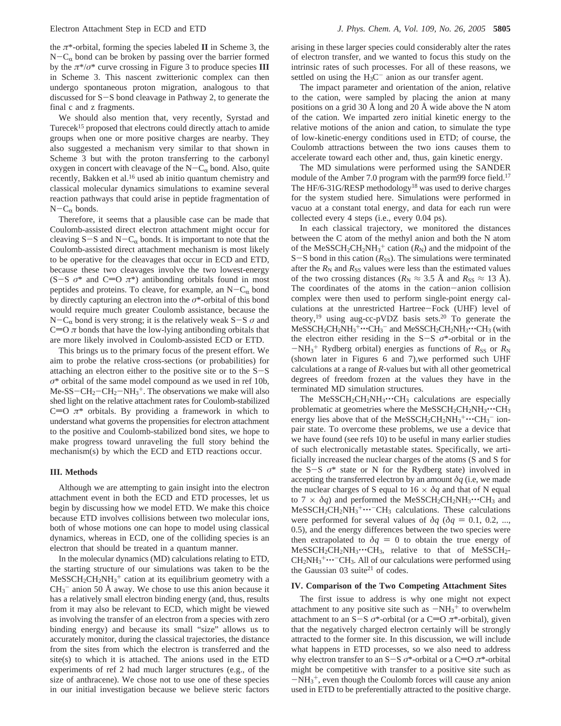the  $\pi^*$ -orbital, forming the species labeled **II** in Scheme 3, the  $N-C_{\alpha}$  bond can be broken by passing over the barrier formed by the  $\pi^*/\sigma^*$  curve crossing in Figure 3 to produce species **III** in Scheme 3. This nascent zwitterionic complex can then undergo spontaneous proton migration, analogous to that discussed for S-S bond cleavage in Pathway 2, to generate the final c and z fragments.

We should also mention that, very recently, Syrstad and Turecek<sup>15</sup> proposed that electrons could directly attach to amide groups when one or more positive charges are nearby. They also suggested a mechanism very similar to that shown in Scheme 3 but with the proton transferring to the carbonyl oxygen in concert with cleavage of the  $N-C_{\alpha}$  bond. Also, quite recently, Bakken et al.<sup>16</sup> used ab initio quantum chemistry and classical molecular dynamics simulations to examine several reaction pathways that could arise in peptide fragmentation of  $N-C_{\alpha}$  bonds.

Therefore, it seems that a plausible case can be made that Coulomb-assisted direct electron attachment might occur for cleaving  $S-S$  and  $N-C_{\alpha}$  bonds. It is important to note that the Coulomb-assisted direct attachment mechanism is most likely to be operative for the cleavages that occur in ECD and ETD, because these two cleavages involve the two lowest-energy  $(S-S \space \sigma^*$  and  $C=O \space \pi^*$ ) antibonding orbitals found in most peptides and proteins. To cleave, for example, an  $N-C_{\alpha}$  bond by directly capturing an electron into the *σ*\*-orbital of this bond would require much greater Coulomb assistance, because the N-C<sub>α</sub> bond is very strong; it is the relatively weak S-S  $\sigma$  and  $C=O \pi$  bonds that have the low-lying antibonding orbitals that are more likely involved in Coulomb-assisted ECD or ETD.

This brings us to the primary focus of the present effort. We aim to probe the relative cross-sections (or probabilities) for attaching an electron either to the positive site or to the  $S-S$ *σ*\* orbital of the same model compound as we used in ref 10b,  $Me-SS-CH_2-CH_2-NH_3^+$ . The observations we make will also<br>shed light on the relative attachment rates for Coulomb-stabilized shed light on the relative attachment rates for Coulomb-stabilized C=O  $\pi^*$  orbitals. By providing a framework in which to understand what governs the propensities for electron attachment to the positive and Coulomb-stabilized bond sites, we hope to make progress toward unraveling the full story behind the mechanism(s) by which the ECD and ETD reactions occur.

## **III. Methods**

Although we are attempting to gain insight into the electron attachment event in both the ECD and ETD processes, let us begin by discussing how we model ETD. We make this choice because ETD involves collisions between two molecular ions, both of whose motions one can hope to model using classical dynamics, whereas in ECD, one of the colliding species is an electron that should be treated in a quantum manner.

In the molecular dynamics (MD) calculations relating to ETD, the starting structure of our simulations was taken to be the  $MeSSCH_2CH_2NH_3^+$  cation at its equilibrium geometry with a  $CH<sub>3</sub><sup>-</sup>$  anion 50 Å away. We chose to use this anion because it has a relatively small electron binding energy (and, thus, results from it may also be relevant to ECD, which might be viewed as involving the transfer of an electron from a species with zero binding energy) and because its small "size" allows us to accurately monitor, during the classical trajectories, the distance from the sites from which the electron is transferred and the site(s) to which it is attached. The anions used in the ETD experiments of ref 2 had much larger structures (e.g., of the size of anthracene). We chose not to use one of these species in our initial investigation because we believe steric factors

arising in these larger species could considerably alter the rates of electron transfer, and we wanted to focus this study on the intrinsic rates of such processes. For all of these reasons, we settled on using the  $H_3C^-$  anion as our transfer agent.

The impact parameter and orientation of the anion, relative to the cation, were sampled by placing the anion at many positions on a grid 30 Å long and 20 Å wide above the N atom of the cation. We imparted zero initial kinetic energy to the relative motions of the anion and cation, to simulate the type of low-kinetic-energy conditions used in ETD; of course, the Coulomb attractions between the two ions causes them to accelerate toward each other and, thus, gain kinetic energy.

The MD simulations were performed using the SANDER module of the Amber 7.0 program with the parm99 force field.<sup>17</sup> The HF/6-31G/RESP methodology<sup>18</sup> was used to derive charges for the system studied here. Simulations were performed in vacuo at a constant total energy, and data for each run were collected every 4 steps (i.e., every 0.04 ps).

In each classical trajectory, we monitored the distances between the C atom of the methyl anion and both the N atom of the MeSSCH<sub>2</sub>CH<sub>2</sub>NH<sub>3</sub><sup>+</sup> cation  $(R_N)$  and the midpoint of the  $S-S$  bond in this cation ( $R_{SS}$ ). The simulations were terminated after the  $R_N$  and  $R_{SS}$  values were less than the estimated values of the two crossing distances ( $R_N \approx 3.5$  Å and  $R_{SS} \approx 13$  Å). The coordinates of the atoms in the cation-anion collision complex were then used to perform single-point energy calculations at the unrestricted Hartree-Fock (UHF) level of theory,<sup>19</sup> using aug-cc-pVDZ basis sets.<sup>20</sup> To generate the  $MessCH_2CH_2NH_3^+\cdots CH_3^-$  and  $MessCH_2CH_2NH_3\cdots CH_3$  (with the electron either residing in the S-S  $\alpha^*$ -orbital or in the the electron either residing in the  $S-S$   $\sigma^*$ -orbital or in the  $-NH_3^+$  Rydberg orbital) energies as functions of  $R_{SS}$  or  $R_N$ <br>(shown later in Figures 6 and 7) we performed such UHF (shown later in Figures 6 and 7),we performed such UHF calculations at a range of *R*-values but with all other geometrical degrees of freedom frozen at the values they have in the terminated MD simulation structures.

The MeSSCH<sub>2</sub>CH<sub>2</sub>NH<sub>3</sub> $\cdot \cdot \cdot$ CH<sub>3</sub> calculations are especially problematic at geometries where the  $MeSSCH_2CH_2NH_3\cdots CH_3$ energy lies above that of the MeSSCH<sub>2</sub>CH<sub>2</sub>NH<sub>3</sub><sup>+</sup> $\cdots$ CH<sub>3</sub><sup>-</sup> ion-<br>pair state. To overcome these problems, we use a device that pair state. To overcome these problems, we use a device that we have found (see refs 10) to be useful in many earlier studies of such electronically metastable states. Specifically, we artificially increased the nuclear charges of the atoms (S and S for the  $S-S$   $\sigma^*$  state or N for the Rydberg state) involved in accepting the transferred electron by an amount  $\delta q$  (i.e., we made the nuclear charges of S equal to  $16 \times \delta q$  and that of N equal to  $7 \times \delta q$ ) and performed the MeSSCH<sub>2</sub>CH<sub>2</sub>NH<sub>3</sub> $\cdots$ CH<sub>3</sub> and MeSSCH<sub>2</sub>CH<sub>2</sub>NH<sub>3</sub><sup>+</sup>···<sup>-</sup>CH<sub>3</sub> calculations. These calculations<br>were performed for several values of  $\delta a$  ( $\delta a = 0.1$ , 0.2) were performed for several values of  $\delta q$  ( $\delta q = 0.1, 0.2, ...$ ) 0.5), and the energy differences between the two species were then extrapolated to  $\delta q = 0$  to obtain the true energy of  $MeSSCH_2CH_2NH_3\cdots CH_3$ , relative to that of MeSSCH<sub>2</sub>- $CH_2NH_3^+ \cdots$  CH<sub>3</sub>. All of our calculations were performed using<br>the Gaussian 03 suite<sup>21</sup> of codes the Gaussian 03 suite<sup>21</sup> of codes.

#### **IV. Comparison of the Two Competing Attachment Sites**

The first issue to address is why one might not expect attachment to any positive site such as  $-NH_3^+$  to overwhelm<br>attachment to an S-S  $\sigma^*$ -orbital (or a C=O  $\pi^*$ -orbital) given attachment to an S-S  $\sigma^*$ -orbital (or a C=O  $\pi^*$ -orbital), given that the negatively charged electron certainly will be strongly attracted to the former site. In this discussion, we will include what happens in ETD processes, so we also need to address why electron transfer to an S-S *σ*<sup>\*</sup>-orbital or a C=O *π*<sup>\*</sup>-orbital might be competitive with transfer to a positive site such as  $-NH<sub>3</sub><sup>+</sup>$ , even though the Coulomb forces will cause any anion<br>used in ETD to be preferentially attracted to the positive charge used in ETD to be preferentially attracted to the positive charge.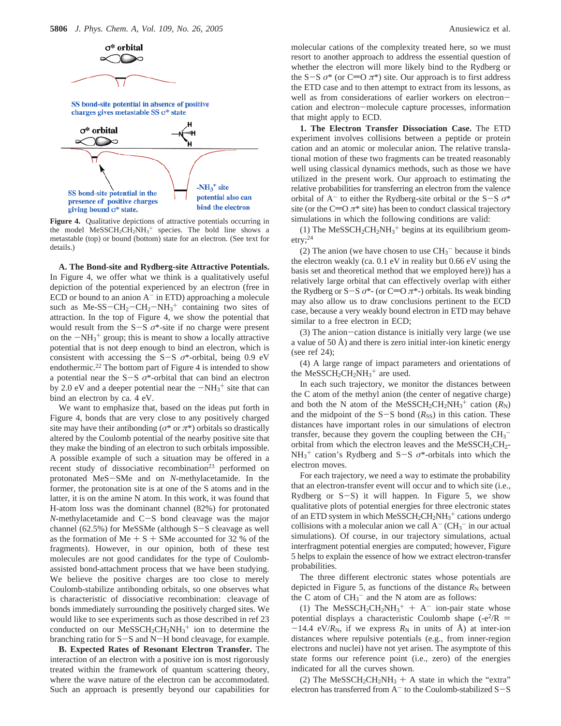

**Figure 4.** Qualitative depictions of attractive potentials occurring in the model  $MeSSCH_2CH_2NH_3^+$  species. The bold line shows a metastable (top) or bound (bottom) state for an electron. (See text for details.)

**A. The Bond-site and Rydberg-site Attractive Potentials.** In Figure 4, we offer what we think is a qualitatively useful depiction of the potential experienced by an electron (free in ECD or bound to an anion  $A^-$  in ETD) approaching a molecule such as Me-SS-CH<sub>2</sub>-CH<sub>2</sub>-NH<sub>3</sub><sup>+</sup> containing two sites of attraction. In the top of Figure 4, we show the potential that attraction. In the top of Figure 4, we show the potential that would result from the  $S-S$   $\sigma^*$ -site if no charge were present on the  $-NH_3^+$  group; this is meant to show a locally attractive<br>potential that is not deep enough to bind an electron, which is potential that is not deep enough to bind an electron, which is consistent with accessing the S-S  $\sigma^*$ -orbital, being 0.9 eV endothermic.<sup>22</sup> The bottom part of Figure 4 is intended to show a potential near the S-<sup>S</sup> *<sup>σ</sup>*\*-orbital that can bind an electron by 2.0 eV and a deeper potential near the  $-NH_3^+$  site that can<br>bind an electron by ca.  $A \in V$ bind an electron by ca. 4 eV.

We want to emphasize that, based on the ideas put forth in Figure 4, bonds that are very close to any positively charged site may have their antibonding ( $\sigma^*$  or  $\pi^*$ ) orbitals so drastically altered by the Coulomb potential of the nearby positive site that they make the binding of an electron to such orbitals impossible. A possible example of such a situation may be offered in a recent study of dissociative recombination<sup>23</sup> performed on protonated MeS-SMe and on *<sup>N</sup>*-methylacetamide. In the former, the protonation site is at one of the S atoms and in the latter, it is on the amine N atom. In this work, it was found that H-atom loss was the dominant channel (82%) for protonated *<sup>N</sup>*-methylacetamide and C-S bond cleavage was the major channel (62.5%) for MeSSMe (although S-S cleavage as well as the formation of  $Me + S + SMe$  accounted for 32 % of the fragments). However, in our opinion, both of these test molecules are not good candidates for the type of Coulombassisted bond-attachment process that we have been studying. We believe the positive charges are too close to merely Coulomb-stabilize antibonding orbitals, so one observes what is characteristic of dissociative recombination: cleavage of bonds immediately surrounding the positively charged sites. We would like to see experiments such as those described in ref 23 conducted on our  $MeSSCH_2CH_2NH_3^+$  ion to determine the branching ratio for S-S and N-H bond cleavage, for example.

**B. Expected Rates of Resonant Electron Transfer.** The interaction of an electron with a positive ion is most rigorously treated within the framework of quantum scattering theory, where the wave nature of the electron can be accommodated. Such an approach is presently beyond our capabilities for molecular cations of the complexity treated here, so we must resort to another approach to address the essential question of whether the electron will more likely bind to the Rydberg or the S-S  $\sigma^*$  (or C=O  $\pi^*$ ) site. Our approach is to first address the ETD case and to then attempt to extract from its lessons, as well as from considerations of earlier workers on electroncation and electron-molecule capture processes, information that might apply to ECD.

**1. The Electron Transfer Dissociation Case.** The ETD experiment involves collisions between a peptide or protein cation and an atomic or molecular anion. The relative translational motion of these two fragments can be treated reasonably well using classical dynamics methods, such as those we have utilized in the present work. Our approach to estimating the relative probabilities for transferring an electron from the valence orbital of  $A^-$  to either the Rydberg-site orbital or the  $S-S$   $\sigma^*$ site (or the C=O  $\pi$ <sup>\*</sup> site) has been to conduct classical trajectory simulations in which the following conditions are valid:

(1) The  $\text{MeSSCH}_2\text{CH}_2\text{NH}_3^+$  begins at its equilibrium geometry; $^{24}$ 

(2) The anion (we have chosen to use  $CH<sub>3</sub><sup>-</sup>$  because it binds the electron weakly (ca. 0.1 eV in reality but 0.66 eV using the basis set and theoretical method that we employed here)) has a relatively large orbital that can effectively overlap with either the Rydberg or S-S  $\sigma^*$ - (or C=O  $\pi^*$ -) orbitals. Its weak binding may also allow us to draw conclusions pertinent to the ECD case, because a very weakly bound electron in ETD may behave similar to a free electron in ECD;

(3) The anion-cation distance is initially very large (we use a value of 50  $\AA$ ) and there is zero initial inter-ion kinetic energy (see ref 24);

(4) A large range of impact parameters and orientations of the MeSSCH<sub>2</sub>CH<sub>2</sub>NH<sub>3</sub><sup>+</sup> are used.

In each such trajectory, we monitor the distances between the C atom of the methyl anion (the center of negative charge) and both the N atom of the MeSSCH<sub>2</sub>CH<sub>2</sub>NH<sub>3</sub><sup>+</sup> cation  $(R_N)$ and the midpoint of the  $S-S$  bond ( $R_{SS}$ ) in this cation. These distances have important roles in our simulations of electron transfer, because they govern the coupling between the  $CH_3^$ orbital from which the electron leaves and the  $MeSSCH_2CH_2$ - $NH_3^+$  cation's Rydberg and S-S  $\sigma^*$ -orbitals into which the electron moves electron moves.

For each trajectory, we need a way to estimate the probability that an electron-transfer event will occur and to which site (i.e., Rydberg or  $S-S$ ) it will happen. In Figure 5, we show qualitative plots of potential energies for three electronic states of an ETD system in which  $MeSSCH_2CH_2NH_3^+$  cations undergo collisions with a molecular anion we call  $A^-$  (CH<sub>3</sub><sup>-</sup> in our actual simulations). Of course, in our trajectory simulations, actual interfragment potential energies are computed; however, Figure 5 helps to explain the essence of how we extract electron-transfer probabilities.

The three different electronic states whose potentials are depicted in Figure 5, as functions of the distance  $R_N$  between the C atom of  $CH_3^-$  and the N atom are as follows:

(1) The MeSSCH<sub>2</sub>CH<sub>2</sub>NH<sub>3</sub><sup>+</sup> + A<sup>-</sup> ion-pair state whose<br>tential displays a characteristic Coulomb shape (- $e^{2}/R$  = potential displays a characteristic Coulomb shape  $(-e^2/R)$  $-14.4$  eV/*R*<sub>N</sub>, if we express *R*<sub>N</sub> in units of  $\AA$ ) at inter-ion distances where repulsive potentials (e.g., from inner-region electrons and nuclei) have not yet arisen. The asymptote of this state forms our reference point (i.e., zero) of the energies indicated for all the curves shown.

(2) The MeSSCH<sub>2</sub>CH<sub>2</sub>NH<sub>3</sub> + A state in which the "extra" electron has transferred from  $A^-$  to the Coulomb-stabilized  $S-S$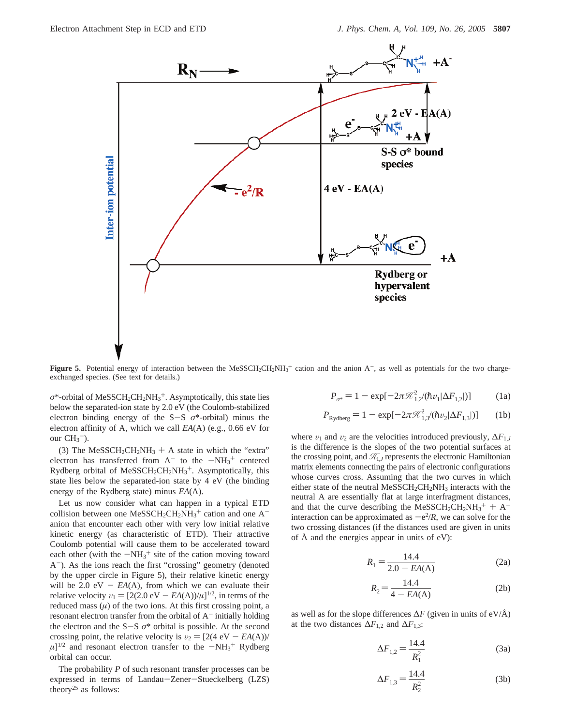

**Figure 5.** Potential energy of interaction between the MeSSCH<sub>2</sub>CH<sub>2</sub>NH<sub>3</sub><sup>+</sup> cation and the anion  $A^-$ , as well as potentials for the two chargeexchanged species. (See text for details.)

 $\sigma^*$ -orbital of MeSSCH<sub>2</sub>CH<sub>2</sub>NH<sub>3</sub><sup>+</sup>. Asymptotically, this state lies below the separated-ion state by 2.0 eV (the Coulomb-stabilized electron binding energy of the S-<sup>S</sup> *<sup>σ</sup>*\*-orbital) minus the electron affinity of A, which we call *EA*(A) (e.g., 0.66 eV for our  $CH<sub>3</sub><sup>-</sup>$ ).

(3) The MeSSCH<sub>2</sub>CH<sub>2</sub>NH<sub>3</sub> + A state in which the "extra" electron has transferred from  $A^-$  to the  $-NH_3^+$  centered<br>Rydberg orbital of MeSSCH.CH.NH<sub>2</sub><sup>+</sup> Asymptotically this Rydberg orbital of  $MeSSCH_2CH_2NH_3^+$ . Asymptotically, this state lies below the separated-ion state by 4 eV (the binding energy of the Rydberg state) minus *EA*(A).

Let us now consider what can happen in a typical ETD collision between one  $MeSSCH_2CH_2NH_3^+$  cation and one  $A^$ anion that encounter each other with very low initial relative kinetic energy (as characteristic of ETD). Their attractive Coulomb potential will cause them to be accelerated toward each other (with the  $-NH_3^+$  site of the cation moving toward  $\Delta^-$ ). As the jons reach the first "crossing" geometry (denoted A-). As the ions reach the first "crossing" geometry (denoted by the upper circle in Figure 5), their relative kinetic energy will be 2.0 eV  $- EA(A)$ , from which we can evaluate their relative velocity  $v_1 = [2(2.0 \text{ eV} - EA(A))/\mu]^{1/2}$ , in terms of the reduced mass  $(\mu)$  of the two ions. At this first crossing point, a resonant electron transfer from the orbital of  $A^-$  initially holding the electron and the  $S-S$   $\sigma^*$  orbital is possible. At the second crossing point, the relative velocity is  $v_2 = [2(4 \text{ eV} - EA(A))$  $\mu$ <sup>[1/2</sup> and resonant electron transfer to the  $-NH_3$ <sup>+</sup> Rydberg orbital can occur. orbital can occur.

The probability *P* of such resonant transfer processes can be expressed in terms of Landau-Zener-Stueckelberg (LZS) theory<sup>25</sup> as follows:

$$
P_{\sigma^*} = 1 - \exp[-2\pi \mathcal{R}_{1,2}^2 / (\hbar v_1 |\Delta F_{1,2}|)] \tag{1a}
$$

$$
P_{\text{Rydberg}} = 1 - \exp[-2\pi \mathcal{R}_{1,3}^2 / (\hbar v_2 |\Delta F_{1,3}|)] \tag{1b}
$$

where  $v_1$  and  $v_2$  are the velocities introduced previously,  $\Delta F_{1,J}$ is the difference is the slopes of the two potential surfaces at the crossing point, and  $\mathcal{H}_{1J}$  represents the electronic Hamiltonian matrix elements connecting the pairs of electronic configurations whose curves cross. Assuming that the two curves in which either state of the neutral MeSSCH<sub>2</sub>CH<sub>2</sub>NH<sub>3</sub> interacts with the neutral A are essentially flat at large interfragment distances, and that the curve describing the MeSSCH<sub>2</sub>CH<sub>2</sub>NH<sub>3</sub><sup>+</sup> + A<sup>-</sup><br>interaction can be approximated as  $-e^{2/R}$ , we can solve for the interaction can be approximated as  $-e^2/R$ , we can solve for the two crossing distances (if the distances used are given in units of Å and the energies appear in units of eV):

$$
R_1 = \frac{14.4}{2.0 - EA(A)}
$$
 (2a)

$$
R_2 = \frac{14.4}{4 - EA(A)}
$$
 (2b)

as well as for the slope differences ∆*F* (given in units of eV/Å) at the two distances  $\Delta F_{1,2}$  and  $\Delta F_{1,3}$ :

$$
\Delta F_{1,2} = \frac{14.4}{R_1^2} \tag{3a}
$$

$$
\Delta F_{1,3} = \frac{14.4}{R_2^2} \tag{3b}
$$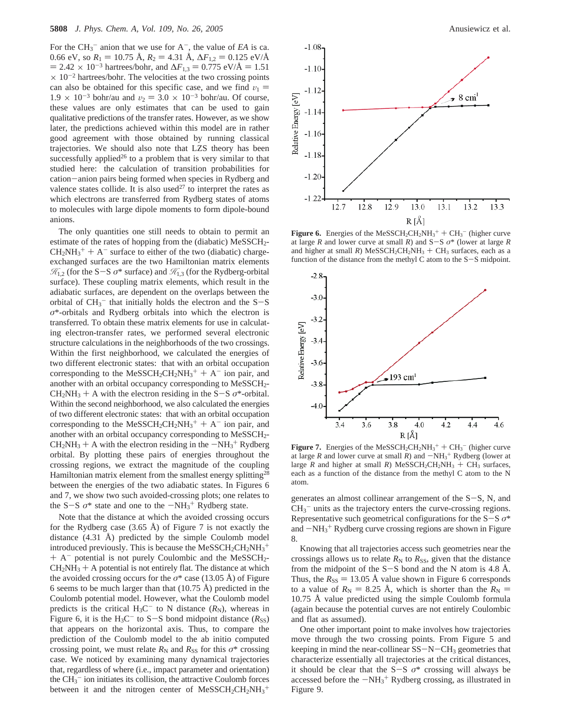For the  $CH_3^-$  anion that we use for  $A^-$ , the value of *EA* is ca. 0.66 eV, so  $R_1 = 10.75 \text{ Å}$ ,  $R_2 = 4.31 \text{ Å}$ ,  $\Delta F_{1,2} = 0.125 \text{ eV/A}$  $= 2.42 \times 10^{-3}$  hartrees/bohr, and  $\Delta F_{1,3} = 0.775 \text{ eV/A} = 1.51$  $\times$  10<sup>-2</sup> hartrees/bohr. The velocities at the two crossing points can also be obtained for this specific case, and we find  $v_1$  =  $1.9 \times 10^{-3}$  bohr/au and  $v_2 = 3.0 \times 10^{-3}$  bohr/au. Of course, these values are only estimates that can be used to gain qualitative predictions of the transfer rates. However, as we show later, the predictions achieved within this model are in rather good agreement with those obtained by running classical trajectories. We should also note that LZS theory has been successfully applied<sup>26</sup> to a problem that is very similar to that studied here: the calculation of transition probabilities for cation-anion pairs being formed when species in Rydberg and valence states collide. It is also used<sup>27</sup> to interpret the rates as which electrons are transferred from Rydberg states of atoms to molecules with large dipole moments to form dipole-bound anions.

The only quantities one still needs to obtain to permit an estimate of the rates of hopping from the (diabatic) MeSSCH<sub>2</sub>- $CH_2NH_3^+ + A^-$  surface to either of the two (diabatic) charge-<br>exchanged surfaces are the two Hamiltonian matrix elements exchanged surfaces are the two Hamiltonian matrix elements  $\mathcal{H}_{1,2}$  (for the S-S  $\sigma^*$  surface) and  $\mathcal{H}_{1,3}$  (for the Rydberg-orbital surface). These coupling matrix elements, which result in the adiabatic surfaces, are dependent on the overlaps between the orbital of  $CH_3^-$  that initially holds the electron and the S-S<br> $\sigma^*$ -orbitals and Rydberg orbitals into which the electron is *σ*\*-orbitals and Rydberg orbitals into which the electron is transferred. To obtain these matrix elements for use in calculating electron-transfer rates, we performed several electronic structure calculations in the neighborhoods of the two crossings. Within the first neighborhood, we calculated the energies of two different electronic states: that with an orbital occupation corresponding to the MeSSCH<sub>2</sub>CH<sub>2</sub>NH<sub>3</sub><sup>+</sup> + A<sup>-</sup> ion pair, and<br>another with an orbital occupancy corresponding to MeSSCH<sub>2</sub>another with an orbital occupancy corresponding to MeSSCH<sub>2</sub>- $CH<sub>2</sub>NH<sub>3</sub> + A$  with the electron residing in the S-S  $\sigma^*$ -orbital. Within the second neighborhood, we also calculated the energies of two different electronic states: that with an orbital occupation corresponding to the MeSSCH<sub>2</sub>CH<sub>2</sub>NH<sub>3</sub><sup>+</sup> + A<sup>-</sup> ion pair, and<br>another with an orbital occupancy corresponding to MeSSCH<sub>2</sub> another with an orbital occupancy corresponding to MeSSCH2-  $CH_2NH_3 + A$  with the electron residing in the  $-NH_3^+$  Rydberg<br>orbital. By plotting these pairs of energies throughout the orbital. By plotting these pairs of energies throughout the crossing regions, we extract the magnitude of the coupling Hamiltonian matrix element from the smallest energy splitting<sup>28</sup> between the energies of the two adiabatic states. In Figures 6 and 7, we show two such avoided-crossing plots; one relates to the S-S  $\sigma^*$  state and one to the  $-NH_3^+$  Rydberg state.

Note that the distance at which the avoided crossing occurs for the Rydberg case (3.65 Å) of Figure 7 is not exactly the distance (4.31 Å) predicted by the simple Coulomb model introduced previously. This is because the  $MeSSCH_2CH_2NH_3^+$  $+$  A<sup>-</sup> potential is not purely Coulombic and the MeSSCH<sub>2</sub>- $CH<sub>2</sub>NH<sub>3</sub> + A$  potential is not entirely flat. The distance at which the avoided crossing occurs for the  $\sigma^*$  case (13.05 Å) of Figure 6 seems to be much larger than that  $(10.75 \text{ Å})$  predicted in the Coulomb potential model. However, what the Coulomb model predicts is the critical  $H_3C^-$  to N distance  $(R_N)$ , whereas in Figure 6, it is the H<sub>3</sub>C<sup>-</sup> to S-S bond midpoint distance  $(R_{SS})$ that appears on the horizontal axis. Thus, to compare the prediction of the Coulomb model to the ab initio computed crossing point, we must relate  $R_N$  and  $R_{SS}$  for this  $\sigma^*$  crossing case. We noticed by examining many dynamical trajectories that, regardless of where (i.e., impact parameter and orientation) the  $CH_3^-$  ion initiates its collision, the attractive Coulomb forces between it and the nitrogen center of  $MeSSCH_2CH_2NH_3^+$ 



**Figure 6.** Energies of the MeSSCH<sub>2</sub>CH<sub>2</sub>NH<sub>3</sub><sup>+</sup> + CH<sub>3</sub><sup>-</sup> (higher curve at large R and lower curve at small R) and S-S  $\sigma^*$  (lower at large R at large *<sup>R</sup>* and lower curve at small *<sup>R</sup>*) and S-<sup>S</sup> *<sup>σ</sup>*\* (lower at large *<sup>R</sup>* and higher at small *R*) MeSSCH<sub>2</sub>CH<sub>2</sub>NH<sub>3</sub> + CH<sub>3</sub> surfaces, each as a function of the distance from the methyl C atom to the S-S midpoint.



**Figure 7.** Energies of the MeSSCH<sub>2</sub>CH<sub>2</sub>NH<sub>3</sub><sup>+</sup> + CH<sub>3</sub><sup>-</sup> (higher curve at small R) and  $-NH_3$ <sup>+</sup> Rydberg (lower at at large *R* and lower curve at small *R*) and  $-NH_3^+$  Rydberg (lower at large *R* and higher at small *R*) MeSSCH<sub>2</sub>CH<sub>2</sub>NH<sub>2</sub> + CH<sub>2</sub> surfaces large *R* and higher at small *R*) MeSSCH<sub>2</sub>CH<sub>2</sub>NH<sub>3</sub> + CH<sub>3</sub> surfaces, each as a function of the distance from the methyl C atom to the N atom.

generates an almost collinear arrangement of the S-S, N, and  $CH<sub>3</sub><sup>-</sup>$  units as the trajectory enters the curve-crossing regions. Representative such geometrical configurations for the S-<sup>S</sup> *<sup>σ</sup>*\* and  $-NH_3$ <sup>+</sup> Rydberg curve crossing regions are shown in Figure  $\beta$ 8.

Knowing that all trajectories access such geometries near the crossings allows us to relate  $R_N$  to  $R_{SS}$ , given that the distance from the midpoint of the  $S-S$  bond and the N atom is 4.8 Å. Thus, the  $R_{SS} = 13.05$  Å value shown in Figure 6 corresponds to a value of  $R_N = 8.25$  Å, which is shorter than the  $R_N =$ 10.75 Å value predicted using the simple Coulomb formula (again because the potential curves are not entirely Coulombic and flat as assumed).

One other important point to make involves how trajectories move through the two crossing points. From Figure 5 and keeping in mind the near-collinear  $SS-N-CH_3$  geometries that characterize essentially all trajectories at the critical distances, it should be clear that the  $S-S$   $\sigma^*$  crossing will always be accessed before the  $-MH_3^+$  Rydberg crossing, as illustrated in<br>Figure 9 Figure 9.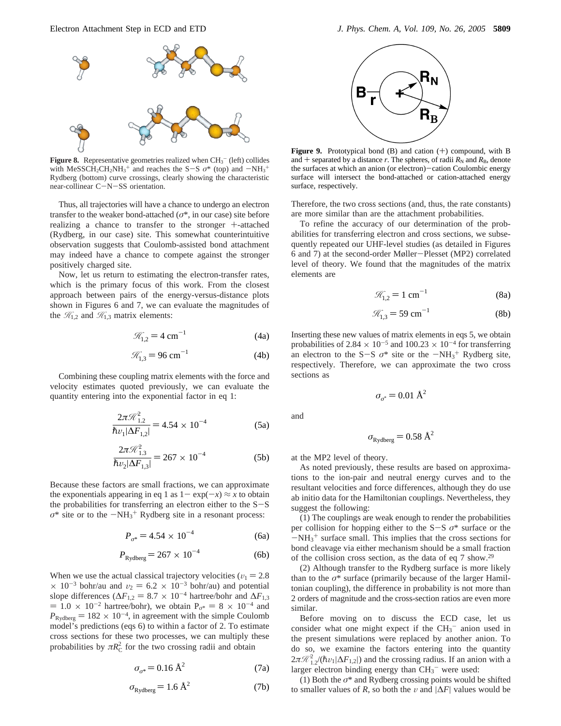

**Figure 8.** Representative geometries realized when  $CH_3^-$  (left) collides with MeSSCH<sub>2</sub>CH<sub>2</sub>NH<sub>3</sub><sup>+</sup> and reaches the S-S  $\sigma^*$  (top) and  $-NH_3$ <sup>+</sup><br>Rydherg (bottom) curve crossings, clearly showing the characteristic Rydberg (bottom) curve crossings, clearly showing the characteristic near-collinear C-N-SS orientation.

Thus, all trajectories will have a chance to undergo an electron transfer to the weaker bond-attached ( $\sigma^*$ , in our case) site before realizing a chance to transfer to the stronger +-attached (Rydberg, in our case) site. This somewhat counterintuitive observation suggests that Coulomb-assisted bond attachment may indeed have a chance to compete against the stronger positively charged site.

Now, let us return to estimating the electron-transfer rates, which is the primary focus of this work. From the closest approach between pairs of the energy-versus-distance plots shown in Figures 6 and 7, we can evaluate the magnitudes of the  $\mathcal{H}_{1,2}$  and  $\mathcal{H}_{1,3}$  matrix elements:

$$
\mathcal{R}_{1,2} = 4 \text{ cm}^{-1} \tag{4a}
$$

$$
\mathcal{R}_{1,3} = 96 \text{ cm}^{-1} \tag{4b}
$$

Combining these coupling matrix elements with the force and velocity estimates quoted previously, we can evaluate the quantity entering into the exponential factor in eq 1:

$$
\frac{2\pi \mathcal{R}_{1,2}^2}{\hbar v_1 |\Delta F_{1,2}|} = 4.54 \times 10^{-4}
$$
 (5a)

$$
\frac{2\pi \mathcal{R}_{1,3}^2}{\hbar v_2 |\Delta F_{1,3}|} = 267 \times 10^{-4}
$$
 (5b)

Because these factors are small fractions, we can approximate the exponentials appearing in eq 1 as  $1 - \exp(-x) \approx x$  to obtain the probabilities for transferring an electron either to the  $S-S$  $\sigma^*$  site or to the  $-NH_3$ <sup>+</sup> Rydberg site in a resonant process:

$$
P_{\sigma^*} = 4.54 \times 10^{-4} \tag{6a}
$$

$$
P_{\text{Rydberg}} = 267 \times 10^{-4} \tag{6b}
$$

When we use the actual classical trajectory velocities ( $v_1 = 2.8$ )  $\times$  10<sup>-3</sup> bohr/au and  $v_2 = 6.2 \times 10^{-3}$  bohr/au) and potential slope differences ( $\Delta F_{1,2} = 8.7 \times 10^{-4}$  hartree/bohr and  $\Delta F_{1,3}$  $= 1.0 \times 10^{-2}$  hartree/bohr), we obtain  $P_{\sigma^*} = 8 \times 10^{-4}$  and  $P_{\text{Rydberg}} = 182 \times 10^{-4}$ , in agreement with the simple Coulomb model's predictions (eqs 6) to within a factor of 2. To estimate cross sections for these two processes, we can multiply these probabilities by  $\pi R_C^2$  for the two crossing radii and obtain

$$
\sigma_{\sigma^*} = 0.16 \,\text{\AA}^2 \tag{7a}
$$

$$
\sigma_{\text{Rydberg}} = 1.6 \text{ Å}^2 \tag{7b}
$$



**Figure 9.** Prototypical bond (B) and cation (+) compound, with B and  $+$  separated by a distance *r*. The spheres, of radii  $R_N$  and  $R_B$ , denote the surfaces at which an anion (or electron)-cation Coulombic energy surface will intersect the bond-attached or cation-attached energy surface, respectively.

Therefore, the two cross sections (and, thus, the rate constants) are more similar than are the attachment probabilities.

To refine the accuracy of our determination of the probabilities for transferring electron and cross sections, we subsequently repeated our UHF-level studies (as detailed in Figures 6 and 7) at the second-order Møller-Plesset (MP2) correlated level of theory. We found that the magnitudes of the matrix elements are

$$
\mathcal{R}_{1,2} = 1 \text{ cm}^{-1} \tag{8a}
$$

$$
\mathcal{R}_{1,3} = 59 \text{ cm}^{-1} \tag{8b}
$$

Inserting these new values of matrix elements in eqs 5, we obtain probabilities of 2.84  $\times$  10<sup>-5</sup> and 100.23  $\times$  10<sup>-4</sup> for transferring an electron to the  $S-S$   $\sigma^*$  site or the  $-NH_3^+$  Rydberg site,<br>respectively. Therefore, we can approximate the two cross respectively. Therefore, we can approximate the two cross sections as

$$
\sigma_{\sigma^*} = 0.01 \text{ \AA}^2
$$

and

$$
\sigma_{\text{Rydberg}} = 0.58 \text{ \AA}^2
$$

at the MP2 level of theory.

As noted previously, these results are based on approximations to the ion-pair and neutral energy curves and to the resultant velocities and force differences, although they do use ab initio data for the Hamiltonian couplings. Nevertheless, they suggest the following:

(1) The couplings are weak enough to render the probabilities per collision for hopping either to the S-<sup>S</sup> *<sup>σ</sup>*\* surface or the  $-NH<sub>3</sub><sup>+</sup>$  surface small. This implies that the cross sections for<br>bond cleavage via either mechanism should be a small fraction bond cleavage via either mechanism should be a small fraction of the collision cross section, as the data of eq 7 show.29

(2) Although transfer to the Rydberg surface is more likely than to the  $\sigma^*$  surface (primarily because of the larger Hamiltonian coupling), the difference in probability is not more than 2 orders of magnitude and the cross-section ratios are even more similar.

Before moving on to discuss the ECD case, let us consider what one might expect if the  $CH_3^-$  anion used in the present simulations were replaced by another anion. To do so, we examine the factors entering into the quantity  $2\pi \mathcal{R}_1^2$ /( $\hbar v_1|\Delta F_{1,2}|\$ ) and the crossing radius. If an anion with a larger electron binding energy than CH<sub>2</sub><sup>-</sup> were used: larger electron binding energy than  $CH_3^-$  were used:

(1) Both the *σ*\* and Rydberg crossing points would be shifted to smaller values of *R*, so both the v and  $|\Delta F|$  values would be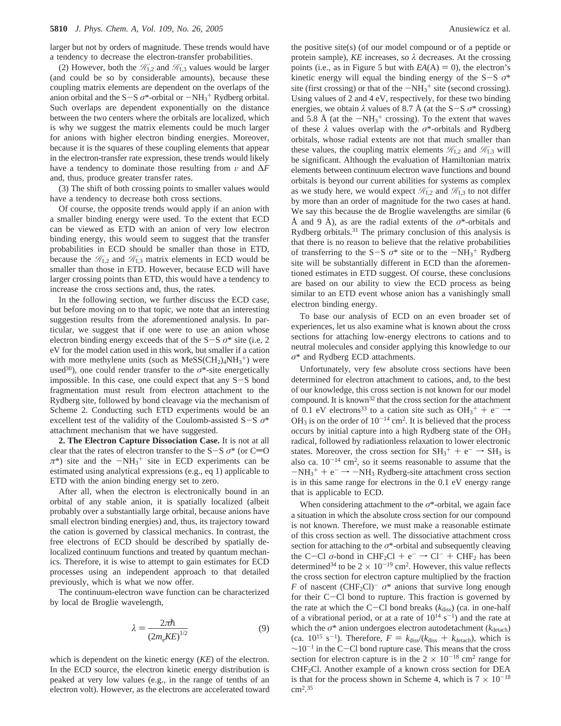larger but not by orders of magnitude. These trends would have a tendency to decrease the electron-transfer probabilities.

(2) However, both the  $\mathcal{H}_{1,2}$  and  $\mathcal{H}_{1,3}$  values would be larger (and could be so by considerable amounts), because these coupling matrix elements are dependent on the overlaps of the anion orbital and the  $S-S \sigma^*$ -orbital or  $-NH_3^+$  Rydberg orbital.<br>Such overlaps are dependent exponentially on the distance Such overlaps are dependent exponentially on the distance between the two centers where the orbitals are localized, which is why we suggest the matrix elements could be much larger for anions with higher electron binding energies. Moreover, because it is the squares of these coupling elements that appear in the electron-transfer rate expression, these trends would likely have a tendency to dominate those resulting from  $\nu$  and  $\Delta F$ and, thus, produce greater transfer rates.

(3) The shift of both crossing points to smaller values would have a tendency to decrease both cross sections.

Of course, the opposite trends would apply if an anion with a smaller binding energy were used. To the extent that ECD can be viewed as ETD with an anion of very low electron binding energy, this would seem to suggest that the transfer probabilities in ECD should be smaller than those in ETD, because the  $\mathcal{H}_{1,2}$  and  $\mathcal{H}_{1,3}$  matrix elements in ECD would be smaller than those in ETD. However, because ECD will have larger crossing points than ETD, this would have a tendency to increase the cross sections and, thus, the rates.

In the following section, we further discuss the ECD case, but before moving on to that topic, we note that an interesting suggestion results from the aforementioned analysis. In particular, we suggest that if one were to use an anion whose electron binding energy exceeds that of the  $S-S \sigma^*$  site (i.e, 2) eV for the model cation used in this work, but smaller if a cation with more methylene units (such as  $MeSS(CH_2)_4NH_3^+$ ) were used<sup>30</sup>), one could render transfer to the  $\sigma^*$ -site energetically impossible. In this case, one could expect that any S-S bond fragmentation must result from electron attachment to the Rydberg site, followed by bond cleavage via the mechanism of Scheme 2. Conducting such ETD experiments would be an excellent test of the validity of the Coulomb-assisted S-<sup>S</sup> *<sup>σ</sup>*\* attachment mechanism that we have suggested.

**2. The Electron Capture Dissociation Case.** It is not at all clear that the rates of electron transfer to the  $S-S$   $\sigma^*$  (or  $C=O$  $\pi^*$ ) site and the  $-NH_3^+$  site in ECD experiments can be estimated using analytical expressions (e.g. eq. 1) applicable to estimated using analytical expressions (e.g., eq 1) applicable to ETD with the anion binding energy set to zero.

After all, when the electron is electronically bound in an orbital of any stable anion, it is spatially localized (albeit probably over a substantially large orbital, because anions have small electron binding energies) and, thus, its trajectory toward the cation is governed by classical mechanics. In contrast, the free electrons of ECD should be described by spatially delocalized continuum functions and treated by quantum mechanics. Therefore, it is wise to attempt to gain estimates for ECD processes using an independent approach to that detailed previously, which is what we now offer.

The continuum-electron wave function can be characterized by local de Broglie wavelength,

$$
\lambda = \frac{2\pi\hbar}{\left(2m_eKE\right)^{1/2}}\tag{9}
$$

which is dependent on the kinetic energy (*KE*) of the electron. In the ECD source, the electron kinetic energy distribution is peaked at very low values (e.g., in the range of tenths of an electron volt). However, as the electrons are accelerated toward the positive site(s) (of our model compound or of a peptide or protein sample),  $KE$  increases, so  $\lambda$  decreases. At the crossing points (i.e., as in Figure 5 but with  $EA(A) = 0$ ), the electron's kinetic energy will equal the binding energy of the S-S  $\sigma^*$ site (first crossing) or that of the  $-NH_3^+$  site (second crossing).<br>Using values of 2 and 4 eV respectively for these two binding Using values of 2 and 4 eV, respectively, for these two binding energies, we obtain  $\lambda$  values of 8.7 Å (at the S-S  $\sigma^*$  crossing) and 5.8 Å (at the  $-NH_3^+$  crossing). To the extent that waves<br>of these  $\lambda$  values overlap with the  $\sigma^*$ -orbitals and Rydberg of these *λ* values overlap with the *σ*\*-orbitals and Rydberg orbitals, whose radial extents are not that much smaller than these values, the coupling matrix elements  $\mathcal{H}_{1,2}$  and  $\mathcal{H}_{1,3}$  will be significant. Although the evaluation of Hamiltonian matrix elements between continuum electron wave functions and bound orbitals is beyond our current abilities for systems as complex as we study here, we would expect  $\mathcal{H}_{1,2}$  and  $\mathcal{H}_{1,3}$  to not differ by more than an order of magnitude for the two cases at hand. We say this because the de Broglie wavelengths are similar (6 Å and 9 Å), as are the radial extents of the  $\sigma^*$ -orbitals and Rydberg orbitals.31 The primary conclusion of this analysis is that there is no reason to believe that the relative probabilities of transferring to the  $S-S$   $\sigma^*$  site or to the  $-NH_3^+$  Rydberg<br>site will be substantially different in ECD than the aforemensite will be substantially different in ECD than the aforementioned estimates in ETD suggest. Of course, these conclusions are based on our ability to view the ECD process as being similar to an ETD event whose anion has a vanishingly small electron binding energy.

To base our analysis of ECD on an even broader set of experiences, let us also examine what is known about the cross sections for attaching low-energy electrons to cations and to neutral molecules and consider applying this knowledge to our *σ*\* and Rydberg ECD attachments.

Unfortunately, very few absolute cross sections have been determined for electron attachment to cations, and, to the best of our knowledge, this cross section is not known for our model compound. It is known32 that the cross section for the attachment of 0.1 eV electrons<sup>33</sup> to a cation site such as  $OH_3^+ + e^- \rightarrow OH_3$  is on the order of  $10^{-14}$  cm<sup>2</sup>. It is believed that the process  $OH<sub>3</sub>$  is on the order of  $10^{-14}$  cm<sup>2</sup>. It is believed that the process occurs by initial capture into a high Rydberg state of the OH3 radical, followed by radiationless relaxation to lower electronic states. Moreover, the cross section for  $SH_3^+ + e^- \rightarrow SH_3$  is<br>also ca.  $10^{-14}$  cm<sup>2</sup> so it seems reasonable to assume that the also ca.  $10^{-14}$  cm<sup>2</sup>, so it seems reasonable to assume that the  $-NH_3^+ + e^- \rightarrow -NH_3$  Rydberg-site attachment cross section<br>is in this same range for electrons in the 0.1 eV energy range is in this same range for electrons in the 0.1 eV energy range that is applicable to ECD.

When considering attachment to the *σ*\*-orbital, we again face a situation in which the absolute cross section for our compound is not known. Therefore, we must make a reasonable estimate of this cross section as well. The dissociative attachment cross section for attaching to the *σ*\*-orbital and subsequently cleaving the C-Cl  $\sigma$ -bond in CHF<sub>2</sub>Cl + e<sup>-</sup>  $\rightarrow$  Cl<sup>-</sup> + CHF<sub>2</sub> has been determined<sup>34</sup> to be  $2 \times 10^{-19}$  cm<sup>2</sup>. However, this value reflects the cross section for electron capture multiplied by the fraction *F* of nascent (CHF<sub>2</sub>Cl)<sup>-</sup>  $\sigma^*$  anions that survive long enough for their C-Cl bond to rupture. This fraction is governed by the rate at which the C-Cl bond breaks  $(k_{\text{diss}})$  (ca. in one-half of a vibrational period, or at a rate of  $10^{14}$  s<sup>-1</sup>) and the rate at which the  $\sigma^*$  anion undergoes electron autodetachment ( $k_{\text{detail}}$ ) (ca.  $10^{15}$  s<sup>-1</sup>). Therefore,  $F = k_{\text{diss}}/(k_{\text{diss}} + k_{\text{detach}})$ , which is  $\sim$ 10<sup>-1</sup> in the C-Cl bond rupture case. This means that the cross section for electron capture is in the  $2 \times 10^{-18}$  cm<sup>2</sup> range for CHF2Cl. Another example of a known cross section for DEA is that for the process shown in Scheme 4, which is  $7 \times 10^{-18}$ cm2. 35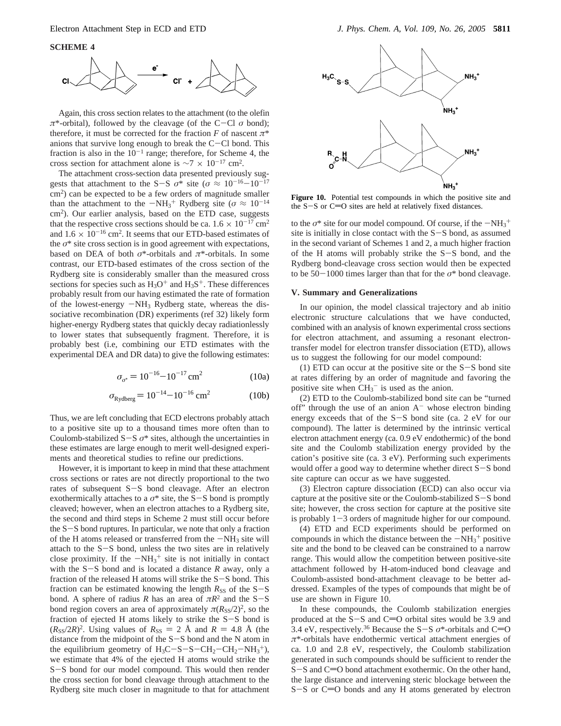**SCHEME 4**



Again, this cross section relates to the attachment (to the olefin  $\pi^*$ -orbital), followed by the cleavage (of the C-Cl  $\sigma$  bond); therefore, it must be corrected for the fraction *F* of nascent *π*\* anions that survive long enough to break the  $C-Cl$  bond. This fraction is also in the  $10^{-1}$  range; therefore, for Scheme 4, the cross section for attachment alone is  $\sim$ 7 × 10<sup>-17</sup> cm<sup>2</sup>.

The attachment cross-section data presented previously suggests that attachment to the S-S  $\sigma^*$  site ( $\sigma \approx 10^{-16}-10^{-17}$  $\text{cm}^2$ ) can be expected to be a few orders of magnitude smaller than the attachment to the  $-NH_3^+$  Rydberg site ( $\sigma \approx 10^{-14}$ <br>cm<sup>2</sup>). Our earlier analysis, based on the ETD case, suggests cm2). Our earlier analysis, based on the ETD case, suggests that the respective cross sections should be ca.  $1.6 \times 10^{-17}$  cm<sup>2</sup> and  $1.6 \times 10^{-16}$  cm<sup>2</sup>. It seems that our ETD-based estimates of the  $\sigma^*$  site cross section is in good agreement with expectations, based on DEA of both *σ*\*-orbitals and *π*\*-orbitals. In some contrast, our ETD-based estimates of the cross section of the Rydberg site is considerably smaller than the measured cross sections for species such as  $H_3O^+$  and  $H_3S^+$ . These differences probably result from our having estimated the rate of formation of the lowest-energy  $-NH_3$  Rydberg state, whereas the dissociative recombination (DR) experiments (ref 32) likely form higher-energy Rydberg states that quickly decay radiationlessly to lower states that subsequently fragment. Therefore, it is probably best (i.e, combining our ETD estimates with the experimental DEA and DR data) to give the following estimates:

$$
\sigma_{\sigma^*} = 10^{-16} - 10^{-17} \,\text{cm}^2 \tag{10a}
$$

$$
\sigma_{\text{Rydberg}} = 10^{-14} - 10^{-16} \text{ cm}^2 \tag{10b}
$$

Thus, we are left concluding that ECD electrons probably attach to a positive site up to a thousand times more often than to Coulomb-stabilized  $S-S$   $\sigma^*$  sites, although the uncertainties in these estimates are large enough to merit well-designed experiments and theoretical studies to refine our predictions.

However, it is important to keep in mind that these attachment cross sections or rates are not directly proportional to the two rates of subsequent S-S bond cleavage. After an electron exothermically attaches to a  $\sigma^*$  site, the S-S bond is promptly cleaved; however, when an electron attaches to a Rydberg site, the second and third steps in Scheme 2 must still occur before the  $S-S$  bond ruptures. In particular, we note that only a fraction of the H atoms released or transferred from the  $-NH_3$  site will attach to the  $S-S$  bond, unless the two sites are in relatively close proximity. If the  $-NH_3^+$  site is not initially in contact<br>with the S-S bond and is located a distance R away only a with the S-S bond and is located a distance *<sup>R</sup>* away, only a fraction of the released H atoms will strike the S-S bond. This fraction can be estimated knowing the length  $R_{SS}$  of the  $S-S$ bond. A sphere of radius *R* has an area of  $\pi R^2$  and the S-S bond region covers an area of approximately  $\pi(R_{SS}/2)^2$ , so the fraction of ejected H atoms likely to strike the S-S bond is  $(R_{SS}/2R)^2$ . Using values of  $R_{SS} = 2$  Å and  $R = 4.8$  Å (the distance from the midpoint of the S-S bond and the N atom in the equilibrium geometry of  $H_3C-S-S-CH_2-CH_2-NH_3^+$ ,<br>we estimate that 4% of the ejected H atoms would strike the we estimate that 4% of the ejected H atoms would strike the <sup>S</sup>-S bond for our model compound. This would then render the cross section for bond cleavage through attachment to the Rydberg site much closer in magnitude to that for attachment



Figure 10. Potential test compounds in which the positive site and the  $S-S$  or  $C=O$  sites are held at relatively fixed distances.

to the  $\sigma^*$  site for our model compound. Of course, if the  $-NH_3^+$ <br>site is initially in close contact with the S-S hond, as assumed site is initially in close contact with the S-S bond, as assumed in the second variant of Schemes 1 and 2, a much higher fraction of the H atoms will probably strike the S-S bond, and the Rydberg bond-cleavage cross section would then be expected to be 50 $-1000$  times larger than that for the  $\sigma^*$  bond cleavage.

#### **V. Summary and Generalizations**

In our opinion, the model classical trajectory and ab initio electronic structure calculations that we have conducted, combined with an analysis of known experimental cross sections for electron attachment, and assuming a resonant electrontransfer model for electron transfer dissociation (ETD), allows us to suggest the following for our model compound:

(1) ETD can occur at the positive site or the  $S-S$  bond site at rates differing by an order of magnitude and favoring the positive site when  $CH_3^-$  is used as the anion.

(2) ETD to the Coulomb-stabilized bond site can be "turned off" through the use of an anion  $A^-$  whose electron binding energy exceeds that of the S-S bond site (ca. 2 eV for our compound). The latter is determined by the intrinsic vertical electron attachment energy (ca. 0.9 eV endothermic) of the bond site and the Coulomb stabilization energy provided by the cation's positive site (ca. 3 eV). Performing such experiments would offer a good way to determine whether direct S-S bond site capture can occur as we have suggested.

(3) Electron capture dissociation (ECD) can also occur via capture at the positive site or the Coulomb-stabilized S-S bond site; however, the cross section for capture at the positive site is probably  $1-3$  orders of magnitude higher for our compound.

(4) ETD and ECD experiments should be performed on compounds in which the distance between the  $-NH<sub>3</sub><sup>+</sup>$  positive<br>site and the bond to be cleaved can be constrained to a narrow site and the bond to be cleaved can be constrained to a narrow range. This would allow the competition between positive-site attachment followed by H-atom-induced bond cleavage and Coulomb-assisted bond-attachment cleavage to be better addressed. Examples of the types of compounds that might be of use are shown in Figure 10.

In these compounds, the Coulomb stabilization energies produced at the  $S-S$  and  $C=O$  orbital sites would be 3.9 and 3.4 eV, respectively.<sup>36</sup> Because the S−S  $\sigma^*$ -orbitals and C=O *π*\*-orbitals have endothermic vertical attachment energies of ca. 1.0 and 2.8 eV, respectively, the Coulomb stabilization generated in such compounds should be sufficient to render the  $S-S$  and  $C=O$  bond attachment exothermic. On the other hand, the large distance and intervening steric blockage between the  $S-S$  or  $C=O$  bonds and any H atoms generated by electron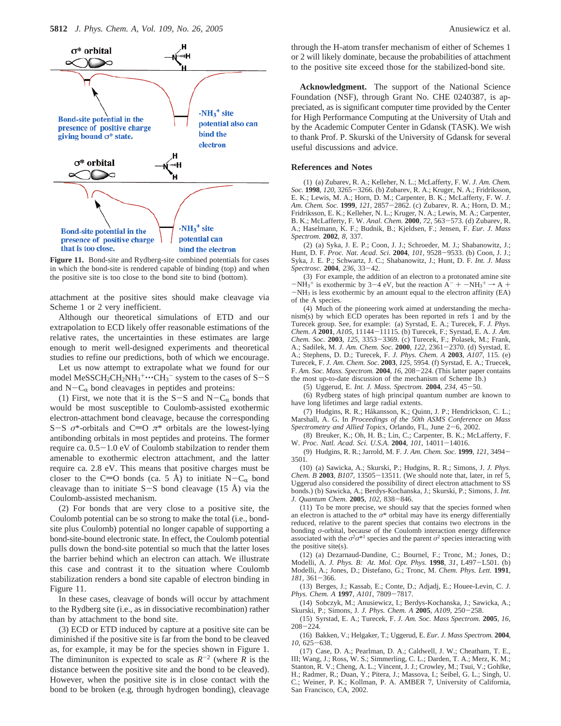

**Figure 11.** Bond-site and Rydberg-site combined potentials for cases in which the bond-site is rendered capable of binding (top) and when the positive site is too close to the bond site to bind (bottom).

attachment at the positive sites should make cleavage via Scheme 1 or 2 very inefficient.

Although our theoretical simulations of ETD and our extrapolation to ECD likely offer reasonable estimations of the relative rates, the uncertainties in these estimates are large enough to merit well-designed experiments and theoretical studies to refine our predictions, both of which we encourage.

Let us now attempt to extrapolate what we found for our model MeSSCH<sub>2</sub>CH<sub>2</sub>NH<sub>3</sub><sup>+</sup>... CH<sub>3</sub><sup>-</sup> system to the cases of S-S<br>and N-C<sub>1</sub>, bond cleavages in pentides and proteins: and  $N-C_{\alpha}$  bond cleavages in peptides and proteins:

(1) First, we note that it is the S-S and N-C<sub> $\alpha$ </sub> bonds that would be most susceptible to Coulomb-assisted exothermic electron-attachment bond cleavage, because the corresponding S-S  $\sigma^*$ -orbitals and C=O  $\pi^*$  orbitals are the lowest-lying antibonding orbitals in most peptides and proteins. The former require ca. 0.5-1.0 eV of Coulomb stabilzation to render them amenable to exothermic electron attachment, and the latter require ca. 2.8 eV. This means that positive charges must be closer to the C=O bonds (ca. 5 Å) to initiate N-C<sub> $\alpha$ </sub> bond cleavage than to initiate  $S-S$  bond cleavage (15 Å) via the Coulomb-assisted mechanism.

(2) For bonds that are very close to a positive site, the Coulomb potential can be so strong to make the total (i.e., bondsite plus Coulomb) potential no longer capable of supporting a bond-site-bound electronic state. In effect, the Coulomb potential pulls down the bond-site potential so much that the latter loses the barrier behind which an electron can attach. We illustrate this case and contrast it to the situation where Coulomb stabilization renders a bond site capable of electron binding in Figure 11.

In these cases, cleavage of bonds will occur by attachment to the Rydberg site (i.e., as in dissociative recombination) rather than by attachment to the bond site.

(3) ECD or ETD induced by capture at a positive site can be diminished if the positive site is far from the bond to be cleaved as, for example, it may be for the species shown in Figure 1. The diminuniton is expected to scale as  $R^{-2}$  (where *R* is the distance between the positive site and the bond to be cleaved). However, when the positive site is in close contact with the bond to be broken (e.g, through hydrogen bonding), cleavage

through the H-atom transfer mechanism of either of Schemes 1 or 2 will likely dominate, because the probabilities of attachment to the positive site exceed those for the stabilized-bond site.

**Acknowledgment.** The support of the National Science Foundation (NSF), through Grant No. CHE 0240387, is appreciated, as is significant computer time provided by the Center for High Performance Computing at the University of Utah and by the Academic Computer Center in Gdansk (TASK). We wish to thank Prof. P. Skurski of the University of Gdansk for several useful discussions and advice.

#### **References and Notes**

(1) (a) Zubarev, R. A.; Kelleher, N. L.; McLafferty, F. W. *J. Am. Chem. Soc.* **<sup>1998</sup>**, *<sup>120</sup>*, 3265-3266. (b) Zubarev, R. A.; Kruger, N. A.; Fridriksson, E. K.; Lewis, M. A.; Horn, D. M.; Carpenter, B. K.; McLafferty, F. W. *J. Am. Chem. Soc.* **<sup>1999</sup>**, *<sup>121</sup>*, 2857-2862. (c) Zubarev, R. A.; Horn, D. M.; Fridriksson, E. K.; Kelleher, N. L.; Kruger, N. A.; Lewis, M. A.; Carpenter, B. K.; McLafferty, F. W. *Anal. Chem.* **<sup>2000</sup>**, *<sup>72</sup>*, 563-573. (d) Zubarev, R. A.; Haselmann, K. F.; Budnik, B.; Kjeldsen, F.; Jensen, F. *Eur. J. Mass Spectrom.* **2002***, 8*, 337.

(2) (a) Syka, J. E. P.; Coon, J. J.; Schroeder, M. J.; Shabanowitz, J.; Hunt, D. F. *Proc. Nat. Acad. Sci.* **<sup>2004</sup>**, *<sup>101</sup>*, 9528-9533. (b) Coon, J. J.; Syka, J. E. P.; Schwartz, J. C.; Shabanowitz, J.; Hunt, D. F. *Int. J. Mass Spectrosc.* **<sup>2004</sup>**, *<sup>236</sup>*, 33-42.

(3) For example, the addition of an electron to a protonated amine site  $-NH_3^+$  is exothermic by 3-4 eV, but the reaction  $A^- + -NH_3^+ \rightarrow A +$ <br>-NH<sub>3</sub> is less exothermic by an amount equal to the electron affinity (EA)  $-NH_3$  is less exothermic by an amount equal to the electron affinity (EA) of the A species.

(4) Much of the pioneering work aimed at understanding the mechanism(s) by which ECD operates has been reported in refs  $\overline{1}$  and by the Turecek group. See, for example: (a) Syrstad, E. A.; Turecek, F. *J. Phys. Chem. A* **<sup>2001</sup>**, *A105*, 11144-11115. (b) Turecek, F.; Syrstad, E. A. *J. Am. Chem. Soc.* **<sup>2003</sup>**, *<sup>125</sup>*, 3353-3369. (c) Turecek, F.; Polasek, M.; Frank, A.; Sadilek, M. *J. Am. Chem. Soc.* **<sup>2000</sup>**, *<sup>122</sup>*, 2361-2370. (d) Syrstad, E. A.; Stephens, D. D.; Turecek, F. *J. Phys. Chem. A* **2003**, *A107*, 115. (e) Turecek, F. *J. Am. Chem. Soc.* **2003**, *125*, 5954. (f) Syrstad, E. A.; Truecek, F. *Am. Soc. Mass. Spectrom.* **<sup>2004</sup>**, *<sup>16</sup>*, 208-224. (This latter paper contains the most up-to-date discussion of the mechanism of Scheme 1b.)

(5) Uggerud, E. *Int. J. Mass. Spectrom.* **<sup>2004</sup>**, *<sup>234</sup>*, 45-50.

(6) Rydberg states of high principal quantum number are known to have long lifetimes and large radial extents.

(7) Hudgins, R. R.; Håkansson, K.; Quinn, J. P.; Hendrickson, C. L.; Marshall, A. G. In *Proceedings of the 50th ASMS Conference on Mass Spectrometry and Allied Topics*, Orlando, FL, June 2-6, 2002.

(8) Breuker, K.; Oh, H. B.; Lin, C.; Carpenter, B. K.; McLafferty, F. W. *Proc. Natl. Acad. Sci. U.S.A.* **<sup>2004</sup>**, *<sup>101</sup>*, 14011-14016.

(9) Hudgins, R. R.; Jarrold, M. F. *J. Am. Chem. Soc.* **<sup>1999</sup>**, *<sup>121</sup>*, 3494- 3501.

(10) (a) Sawicka, A.; Skurski, P.; Hudgins, R. R.; Simons, J. *J. Phys. Chem. B* **<sup>2003</sup>**, *B107,* <sup>13505</sup>-13511. (We should note that, later, in ref 5, Uggerud also considered the possibility of direct electron attachment to SS bonds.) (b) Sawicka, A.; Berdys-Kochanska, J.; Skurski, P.; Simons, J. *Int. J. Quantum Chem.* **<sup>2005</sup>**, *<sup>102</sup>*, 838-846.

(11) To be more precise, we should say that the species formed when an electron is attached to the  $\sigma^*$  orbital may have its energy differentially reduced, relative to the parent species that contains two electrons in the bonding *σ*-orbital, because of the Coulomb interaction energy difference associated with the  $\sigma^2 \sigma^{*1}$  species and the parent  $\sigma^2$  species interacting with the positive site(s).

(12) (a) Dezarnaud-Dandine, C.; Bournel, F.; Tronc, M.; Jones, D.; Modelli, A. *J. Phys. B: At. Mol. Opt. Phys.* **<sup>1998</sup>**, *<sup>31</sup>*, L497-L501. (b) Modelli, A.; Jones, D.; Distefano, G.; Tronc, M. *Chem. Phys. Lett.* **1991**, *<sup>181</sup>*, 361-366.

(13) Berges, J.; Kassab, E.; Conte, D.; Adjadj, E.; Houee-Levin, C. *J. Phys. Chem. A* **<sup>1997</sup>**, *A101*, 7809-7817.

(14) Sobczyk, M.; Anusiewicz, I.; Berdys-Kochanska, J.; Sawicka, A.; Skurski, P.; Simons, J. *J. Phys. Chem. A* **<sup>2005</sup>**, *A109*, 250-258.

(15) Syrstad, E. A.; Turecek, F. *J. Am. Soc. Mass Spectrom.* **2005**, *16*,  $208 - 224.$ 

(16) Bakken, V.; Helgaker, T.; Uggerud, E. *Eur. J. Mass Spectrom.* **2004**, *<sup>10</sup>*, 625-638.

(17) Case, D. A.; Pearlman, D. A.; Caldwell, J. W.; Cheatham, T. E., III; Wang, J.; Ross, W. S.; Simmerling, C. L.; Darden, T. A.; Merz, K. M.; Stanton, R. V.; Cheng, A. L.; Vincent, J. J.; Crowley, M.; Tsui, V.; Gohlke, H.; Radmer, R.; Duan, Y.; Pitera, J.; Massova, I.; Seibel, G. L.; Singh, U. C.; Weiner, P. K.; Kollman, P. A. AMBER 7, University of California, San Francisco, CA, 2002.